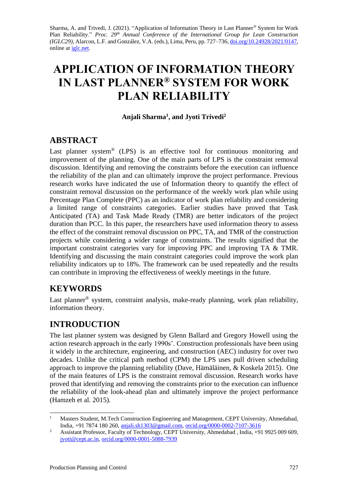Sharma, A. and Trivedi, J. (2021). "Application of Information Theory in Last Planner® System for Work Plan Reliability." *Proc. 29<sup>th</sup> Annual Conference of the International Group for Lean Construction (IGLC29),* Alarcon, L.F. and González, V.A. (eds.)*,* Lima, Peru, pp. 727–736, [doi.org/10.24928/2021/0](https://doi.org/10.24928/2021/XXXX)147, online at [iglc.net.](http://iglc.net/)

# **APPLICATION OF INFORMATION THEORY IN LAST PLANNER® SYSTEM FOR WORK PLAN RELIABILITY**

#### **Anjali Sharma<sup>1</sup> , and Jyoti Trivedi<sup>2</sup>**

### **ABSTRACT**

Last planner system<sup>®</sup> (LPS) is an effective tool for continuous monitoring and improvement of the planning. One of the main parts of LPS is the constraint removal discussion. Identifying and removing the constraints before the execution can influence the reliability of the plan and can ultimately improve the project performance. Previous research works have indicated the use of Information theory to quantify the effect of constraint removal discussion on the performance of the weekly work plan while using Percentage Plan Complete (PPC) as an indicator of work plan reliability and considering a limited range of constraints categories. Earlier studies have proved that Task Anticipated (TA) and Task Made Ready (TMR) are better indicators of the project duration than PCC. In this paper, the researchers have used information theory to assess the effect of the constraint removal discussion on PPC, TA, and TMR of the construction projects while considering a wider range of constraints. The results signified that the important constraint categories vary for improving PPC and improving TA & TMR. Identifying and discussing the main constraint categories could improve the work plan reliability indicators up to 18%. The framework can be used repeatedly and the results can contribute in improving the effectiveness of weekly meetings in the future.

## **KEYWORDS**

Last planner<sup>®</sup> system, constraint analysis, make-ready planning, work plan reliability, information theory.

# **INTRODUCTION**

The last planner system was designed by Glenn Ballard and Gregory Howell using the action research approach in the early 1990s'. Construction professionals have been using it widely in the architecture, engineering, and construction (AEC) industry for over two decades. Unlike the critical path method (CPM) the LPS uses pull driven scheduling approach to improve the planning reliability (Dave, Hämäläinen, & Koskela 2015). One of the main features of LPS is the constraint removal discussion. Research works have proved that identifying and removing the constraints prior to the execution can influence the reliability of the look-ahead plan and ultimately improve the project performance (Hamzeh et al. 2015).

<sup>-</sup><sup>1</sup> Masters Student, M.Tech Construction Engineering and Management, CEPT University, Ahmedabad, India, +91 7874 180 260[, anjali.sh1303@gmail.com,](mailto:anjali.sh1303@gmail.com) [orcid.org/0000-0002-7107-3616](https://orcid.org/0000-0002-7107-3616)

<sup>&</sup>lt;sup>2</sup> Assistant Professor, Faculty of Technology, CEPT University, Ahmedabad, India, +91 9925 009 609, [jyoti@cept.ac.in,](mailto:jyoti@cept.ac.in) [orcid.org/0000-0001-5088-7939](https://orcid.org/0000-0001-5088-7939)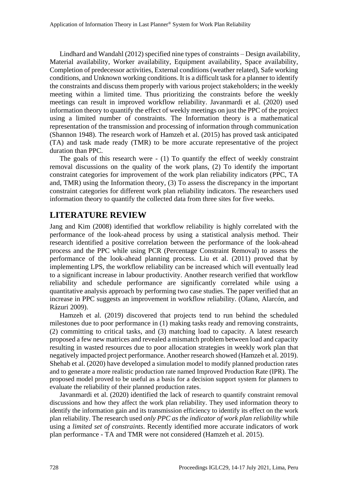Lindhard and Wandahl (2012) specified nine types of constraints – Design availability, Material availability, Worker availability, Equipment availability, Space availability, Completion of predecessor activities, External conditions (weather related), Safe working conditions, and Unknown working conditions. It is a difficult task for a planner to identify the constraints and discuss them properly with various project stakeholders; in the weekly meeting within a limited time. Thus prioritizing the constraints before the weekly meetings can result in improved workflow reliability. Javanmardi et al. (2020) used information theory to quantify the effect of weekly meetings on just the PPC of the project using a limited number of constraints. The Information theory is a mathematical representation of the transmission and processing of information through communication (Shannon 1948). The research work of Hamzeh et al. (2015) has proved task anticipated (TA) and task made ready (TMR) to be more accurate representative of the project duration than PPC.

The goals of this research were - (1) To quantify the effect of weekly constraint removal discussions on the quality of the work plans, (2) To identify the important constraint categories for improvement of the work plan reliability indicators (PPC, TA and, TMR) using the Information theory, (3) To assess the discrepancy in the important constraint categories for different work plan reliability indicators. The researchers used information theory to quantify the collected data from three sites for five weeks.

#### **LITERATURE REVIEW**

Jang and Kim (2008) identified that workflow reliability is highly correlated with the performance of the look-ahead process by using a statistical analysis method. Their research identified a positive correlation between the performance of the look-ahead process and the PPC while using PCR (Percentage Constraint Removal) to assess the performance of the look-ahead planning process. Liu et al. (2011) proved that by implementing LPS, the workflow reliability can be increased which will eventually lead to a significant increase in labour productivity. Another research verified that workflow reliability and schedule performance are significantly correlated while using a quantitative analysis approach by performing two case studies. The paper verified that an increase in PPC suggests an improvement in workflow reliability. (Olano, Alarcón, and Rázuri 2009).

Hamzeh et al. (2019) discovered that projects tend to run behind the scheduled milestones due to poor performance in (1) making tasks ready and removing constraints, (2) committing to critical tasks, and (3) matching load to capacity. A latest research proposed a few new matrices and revealed a mismatch problem between load and capacity resulting in wasted resources due to poor allocation strategies in weekly work plan that negatively impacted project performance. Another research showed (Hamzeh et al. 2019). Shehab et al. (2020) have developed a simulation model to modify planned production rates and to generate a more realistic production rate named Improved Production Rate (IPR). The proposed model proved to be useful as a basis for a decision support system for planners to evaluate the reliability of their planned production rates.

Javanmardi et al. (2020) identified the lack of research to quantify constraint removal discussions and how they affect the work plan reliability. They used information theory to identify the information gain and its transmission efficiency to identify its effect on the work plan reliability. The research used *only PPC as the indicator of work plan reliability* while using a *limited set of constraints*. Recently identified more accurate indicators of work plan performance - TA and TMR were not considered (Hamzeh et al. 2015).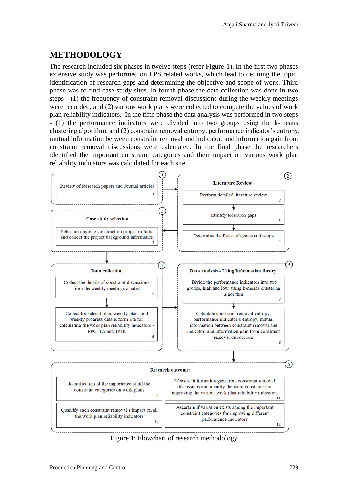## **METHODOLOGY**

The research included six phases in twelve steps (refer Figure-1). In the first two phases extensive study was performed on LPS related works, which lead to defining the topic, identification of research gaps and determining the objective and scope of work. Third phase was to find case study sites. In fourth phase the data collection was done in two steps - (1) the frequency of constraint removal discussions during the weekly meetings were recorded, and (2) various work plans were collected to compute the values of work plan reliability indicators. In the fifth phase the data analysis was performed in two steps - (1) the performance indicators were divided into two groups using the k-means clustering algorithm, and (2) constraint removal entropy, performance indicator's entropy, mutual information between constraint removal and indicator, and information gain from constraint removal discussions were calculated. In the final phase the researchers identified the important constraint categories and their impact on various work plan reliability indicators was calculated for each site.



Figure 1: Flowchart of research methodology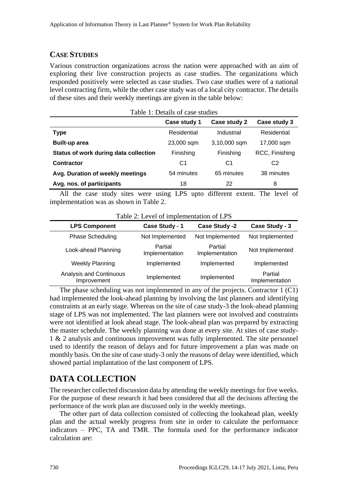#### **CASE STUDIES**

Various construction organizations across the nation were approached with an aim of exploring their live construction projects as case studies. The organizations which responded positively were selected as case studies. Two case studies were of a national level contracting firm, while the other case study was of a local city contractor. The details of these sites and their weekly meetings are given in the table below:

| Table 1: Details of case studies      |              |              |                |  |  |  |  |  |  |
|---------------------------------------|--------------|--------------|----------------|--|--|--|--|--|--|
|                                       | Case study 1 | Case study 2 | Case study 3   |  |  |  |  |  |  |
| <b>Type</b>                           | Residential  | Industrial   | Residential    |  |  |  |  |  |  |
| <b>Built-up area</b>                  | 23,000 sqm   | 3,10,000 sqm | 17,000 sqm     |  |  |  |  |  |  |
| Status of work during data collection | Finishing    | Finishing    | RCC, Finishing |  |  |  |  |  |  |
| <b>Contractor</b>                     | C1           | C1           | C <sub>2</sub> |  |  |  |  |  |  |
| Avg. Duration of weekly meetings      | 54 minutes   | 65 minutes   | 38 minutes     |  |  |  |  |  |  |
| Avg. nos. of participants             | 18           | 22           | 8              |  |  |  |  |  |  |

All the case study sites were using LPS upto different extent. The level of implementation was as shown in Table 2.

| <b>LPS Component</b>                   | Case Study - 1            | Case Study -2             | Case Study - 3            |
|----------------------------------------|---------------------------|---------------------------|---------------------------|
| <b>Phase Scheduling</b>                | Not Implemented           | Not Implemented           | Not Implemented           |
| Look-ahead Planning                    | Partial<br>Implementation | Partial<br>Implementation | Not Implemented           |
| <b>Weekly Planning</b>                 | Implemented               | Implemented               | Implemented               |
| Analysis and Continuous<br>Improvement | Implemented               | Implemented               | Partial<br>Implementation |

The phase scheduling was not implemented in any of the projects. Contractor 1 (C1) had implemented the look-ahead planning by involving the last planners and identifying constraints at an early stage. Whereas on the site of case study-3 the look-ahead planning stage of LPS was not implemented. The last planners were not involved and constraints were not identified at look ahead stage. The look-ahead plan was prepared by extracting the master schedule. The weekly planning was done at every site. At sites of case study-1 & 2 analysis and continuous improvement was fully implemented. The site personnel used to identify the reason of delays and for future improvement a plan was made on monthly basis. On the site of case study-3 only the reasons of delay were identified, which showed partial implantation of the last component of LPS.

### **DATA COLLECTION**

The researcher collected discussion data by attending the weekly meetings for five weeks. For the purpose of these research it had been considered that all the decisions affecting the performance of the work plan are discussed only in the weekly meetings.

The other part of data collection consisted of collecting the lookahead plan, weekly plan and the actual weekly progress from site in order to calculate the performance indicators – PPC, TA and TMR. The formula used for the performance indicator calculation are: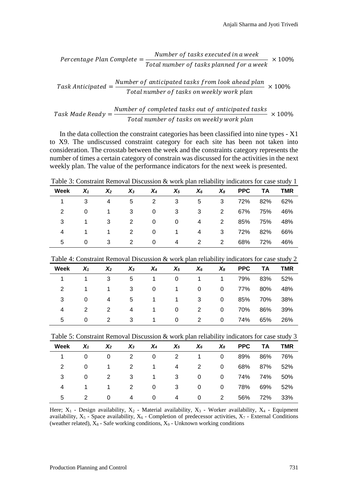$$
Percentage \, Plan \, Complete = \frac{Number \, of \, tasks \, executed \, in \, a \, week}{Total \, number \, of \, tasks \, planned \, for \, a \, week} \times 100\%
$$

Task Anticipated = 
$$
\frac{Number\ of\ anticipated\ tasks\ from\ look\ ahead\ plan}{Total\ number\ of\ tasks\ on\ weekly\ work\ plan} \times 100\%
$$

Task Made Read
$$
y = \frac{Number\ of\ completed\ tasks\ out\ of\ anticipated\ tasks}{Total\ number\ of\ tasks\ on\ weekly\ work\ plan}
$$
 × 100%

In the data collection the constraint categories has been classified into nine types - X1 to X9. The undiscussed constraint category for each site has been not taken into consideration. The crosstab between the week and the constraints category represents the number of times a certain category of constrain was discussed for the activities in the next weekly plan. The value of the performance indicators for the next week is presented.

Table 3: Constraint Removal Discussion & work plan reliability indicators for case study 1

| Week | $X_1$    | $X_2$ | $X_3$ | $X_4$ | $X_5$ | $X_6$ | $X_8$        |         | PPC TA  | <b>TMR</b> |
|------|----------|-------|-------|-------|-------|-------|--------------|---------|---------|------------|
|      |          | 4     | 5     | 2     | 3     | 5     | $3^{\circ}$  | 72% 82% |         | 62%        |
| 2    | $\Omega$ |       | 3     | 0     | 3     | 3     | $2^{\circ}$  |         | 67% 75% | 46%        |
|      |          | 3     | 2     | 0     | 0     | 4     | $2^{\circ}$  |         | 85% 75% | 48%        |
| 4    |          |       | 2     | 0     | 1     | 4     | $\mathbf{3}$ |         | 72% 82% | 66%        |
| 5    | 0        | 3     | 2     | 0     | 4     | 2     | 2            |         | 68% 72% | 46%        |

Table 4: Constraint Removal Discussion & work plan reliability indicators for case study 2

| Week | $X_1$    | $X_2$          | $X_3$ | $X_4$        | $X_5$          | $X_6$        | $X_8$          |         | PPC TA  | <b>TMR</b> |
|------|----------|----------------|-------|--------------|----------------|--------------|----------------|---------|---------|------------|
|      |          | 3              | 5     |              | 0              | $\mathbf{1}$ | $1 \quad$      |         | 79% 83% | 52%        |
| 2    | 1        | $\overline{1}$ | 3     | 0            | $\overline{1}$ | $\mathbf{0}$ | $\overline{0}$ | 77% 80% |         | 48%        |
| 3    | 0        | 4              | 5     | $\mathbf 1$  | 1.             | 3            | $\overline{0}$ |         | 85% 70% | 38%        |
| 4    | 2        | 2              | 4     | 1            | 0              | 2            | $\overline{0}$ |         | 70% 86% | 39%        |
| 5.   | $\Omega$ | 2              | 3     | $\mathbf{1}$ | 0              | 2            | $\overline{0}$ | 74%     | 65%     | 26%        |

Table 5: Constraint Removal Discussion & work plan reliability indicators for case study 3

| Week | $X_1$    | $X_2$        | $X_3$ | $X_4$        | $X_5$ | $X_6$        | $X_{8}$        | PPC TA TMR  |     |
|------|----------|--------------|-------|--------------|-------|--------------|----------------|-------------|-----|
|      | $\Omega$ | 0            | 2     | 0            | 2     | 1            | $\Omega$       | 89% 86%     | 76% |
| 2    | 0        |              | 2     | 1            | 4     | 2            | $\mathbf{0}$   | 68% 87% 52% |     |
| 3    | 0        | 2            | 3     | $\mathbf{1}$ | 3     | $\mathbf{0}$ | 0              | 74% 74%     | 50% |
| 4    | 1.       | $\mathbf{1}$ | 2     | 0            | 3     | $\mathbf{0}$ | $\overline{0}$ | 78% 69%     | 52% |
| 5    |          | 0            | 4     | 0            | 4     | 0            | 2              | 56% 72%     | 33% |

Here;  $X_1$  - Design availability,  $X_2$  - Material availability,  $X_3$  - Worker availability,  $X_4$  - Equipment availability,  $X_5$  - Space availability,  $X_6$  - Completion of predecessor activities,  $X_7$  - External Conditions (weather related),  $X_8$  - Safe working conditions,  $X_9$  - Unknown working conditions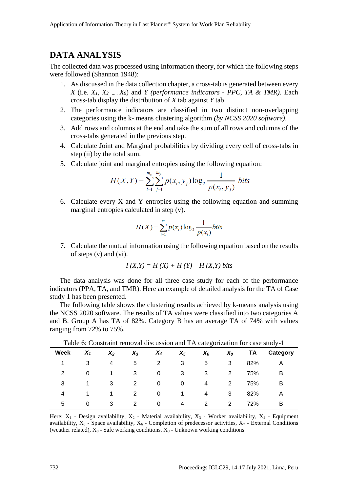# **DATA ANALYSIS**

The collected data was processed using Information theory, for which the following steps were followed (Shannon 1948):

- 1. As discussed in the data collection chapter, a cross-tab is generated between every *X* (i.e. *X1, X2, …., X9*) and *Y (performance indicators - PPC, TA & TMR)*. Each cross-tab display the distribution of *X* tab against *Y* tab.
- 2. The performance indicators are classified in two distinct non-overlapping categories using the k- means clustering algorithm *(by NCSS 2020 software)*.
- 3. Add rows and columns at the end and take the sum of all rows and columns of the cross-tabs generated in the previous step.
- 4. Calculate Joint and Marginal probabilities by dividing every cell of cross-tabs in step (ii) by the total sum.
- 5. Calculate joint and marginal entropies using the following equation:

$$
H(X,Y) = \sum_{i=1}^{m_x} \sum_{j=1}^{m_y} p(x_i, y_j) \log_2 \frac{1}{p(x_i, y_j)} \text{ bits}
$$

6. Calculate every X and Y entropies using the following equation and summing marginal entropies calculated in step (v).

$$
H(X) = \sum_{i=1}^{m} p(x_i) \log_2 \frac{1}{p(x_i)} bits
$$

7. Calculate the mutual information using the following equation based on the results of steps (v) and (vi).

$$
I(X,Y) = H(X) + H(Y) - H(X,Y)
$$
 bits

The data analysis was done for all three case study for each of the performance indicators (PPA, TA, and TMR). Here an example of detailed analysis for the TA of Case study 1 has been presented.

The following table shows the clustering results achieved by k-means analysis using the NCSS 2020 software. The results of TA values were classified into two categories A and B. Group A has TA of 82%. Category B has an average TA of 74% with values ranging from 72% to 75%.

|             | Tueste of Construme reno an encession and 111 categorization for case state,<br>. . |       |       |       |       |       |       |     |          |  |
|-------------|-------------------------------------------------------------------------------------|-------|-------|-------|-------|-------|-------|-----|----------|--|
| <b>Week</b> | $X_1$                                                                               | $X_2$ | $X_3$ | $X_4$ | $X_5$ | $X_6$ | $X_8$ | ΤA  | Category |  |
|             | 3                                                                                   | 4     | 5     | 2     | 3     | 5     | 3     | 82% | A        |  |
| 2           | 0                                                                                   | 1     | 3     | 0     | 3     | 3     | 2     | 75% | B        |  |
| 3           |                                                                                     | 3     | 2     | 0     | 0     | 4     | 2     | 75% | B        |  |
| 4           |                                                                                     | 1     | 2     | 0     |       | 4     | 3     | 82% | A        |  |
| 5           | 0                                                                                   | 3     | 2     | 0     | 4     | 2     | 2     | 72% | в        |  |

Table 6: Constraint removal discussion and TA categorization for case study-1

Here;  $X_1$  - Design availability,  $X_2$  - Material availability,  $X_3$  - Worker availability,  $X_4$  - Equipment availability,  $X_5$  - Space availability,  $X_6$  - Completion of predecessor activities,  $X_7$  - External Conditions (weather related),  $X_8$  - Safe working conditions,  $X_9$  - Unknown working conditions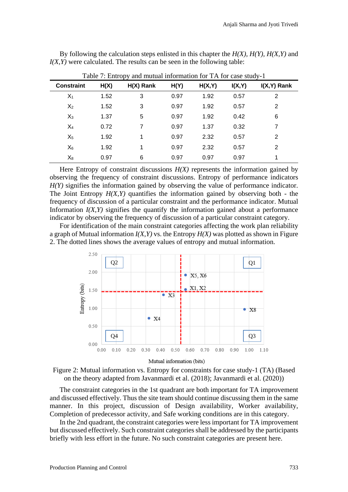| Table 7: Entropy and mutual information for TA for case study-1 |      |             |      |        |        |               |  |  |  |  |
|-----------------------------------------------------------------|------|-------------|------|--------|--------|---------------|--|--|--|--|
| <b>Constraint</b>                                               | H(X) | $H(X)$ Rank | H(Y) | H(X,Y) | I(X,Y) | $I(X,Y)$ Rank |  |  |  |  |
| $X_1$                                                           | 1.52 | 3           | 0.97 | 1.92   | 0.57   | 2             |  |  |  |  |
| $X_2$                                                           | 1.52 | 3           | 0.97 | 1.92   | 0.57   | 2             |  |  |  |  |
| $X_3$                                                           | 1.37 | 5           | 0.97 | 1.92   | 0.42   | 6             |  |  |  |  |
| $X_4$                                                           | 0.72 | 7           | 0.97 | 1.37   | 0.32   | 7             |  |  |  |  |
| $X_5$                                                           | 1.92 | 1           | 0.97 | 2.32   | 0.57   | 2             |  |  |  |  |
| $X_6$                                                           | 1.92 | 1           | 0.97 | 2.32   | 0.57   | 2             |  |  |  |  |
| $\mathsf{X}_8$                                                  | 0.97 | 6           | 0.97 | 0.97   | 0.97   | 1             |  |  |  |  |

By following the calculation steps enlisted in this chapter the *H(X), H(Y), H(X,Y)* and *I(X,Y)* were calculated. The results can be seen in the following table:

Here Entropy of constraint discussions  $H(X)$  represents the information gained by observing the frequency of constraint discussions. Entropy of performance indicators *H(Y)* signifies the information gained by observing the value of performance indicator. The Joint Entropy  $H(X, Y)$  quantifies the information gained by observing both - the frequency of discussion of a particular constraint and the performance indicator. Mutual Information  $I(X, Y)$  signifies the quantify the information gained about a performance indicator by observing the frequency of discussion of a particular constraint category.

For identification of the main constraint categories affecting the work plan reliability a graph of Mutual information *I(X,Y)* vs. the Entropy *H(X)* was plotted as shown in Figure 2. The dotted lines shows the average values of entropy and mutual information.





The constraint categories in the 1st quadrant are both important for TA improvement and discussed effectively. Thus the site team should continue discussing them in the same manner. In this project, discussion of Design availability, Worker availability, Completion of predecessor activity, and Safe working conditions are in this category.

In the 2nd quadrant, the constraint categories were less important for TA improvement but discussed effectively. Such constraint categories shall be addressed by the participants briefly with less effort in the future. No such constraint categories are present here.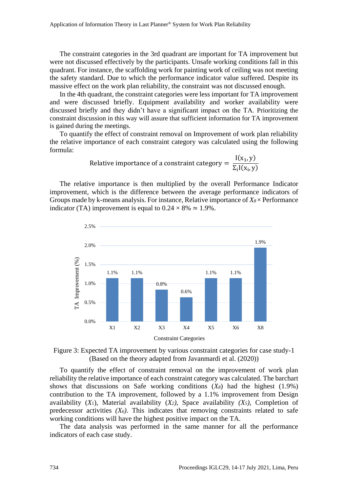The constraint categories in the 3rd quadrant are important for TA improvement but were not discussed effectively by the participants. Unsafe working conditions fall in this quadrant. For instance, the scaffolding work for painting work of ceiling was not meeting the safety standard. Due to which the performance indicator value suffered. Despite its massive effect on the work plan reliability, the constraint was not discussed enough.

In the 4th quadrant, the constraint categories were less important for TA improvement and were discussed briefly. Equipment availability and worker availability were discussed briefly and they didn't have a significant impact on the TA. Prioritizing the constraint discussion in this way will assure that sufficient information for TA improvement is gained during the meetings.

To quantify the effect of constraint removal on Improvement of work plan reliability the relative importance of each constraint category was calculated using the following formula:

Relative importance of a constraint category = 
$$
\frac{I(x_1, y)}{\Sigma_i I(x_i, y)}
$$

The relative importance is then multiplied by the overall Performance Indicator improvement, which is the difference between the average performance indicators of Groups made by k-means analysis. For instance, Relative importance of *X8*× Performance indicator (TA) improvement is equal to  $0.24 \times 8\% \approx 1.9\%$ .



Figure 3: Expected TA improvement by various constraint categories for case study-1 (Based on the theory adapted from Javanmardi et al. (2020))

To quantify the effect of constraint removal on the improvement of work plan reliability the relative importance of each constraint category was calculated. The barchart shows that discussions on Safe working conditions (*X8*) had the highest (1.9%) contribution to the TA improvement, followed by a 1.1% improvement from Design availability (*X*1), Material availability (*X2)*, Space availability *(X5)*, Completion of predecessor activities  $(X_6)$ . This indicates that removing constraints related to safe working conditions will have the highest positive impact on the TA.

The data analysis was performed in the same manner for all the performance indicators of each case study.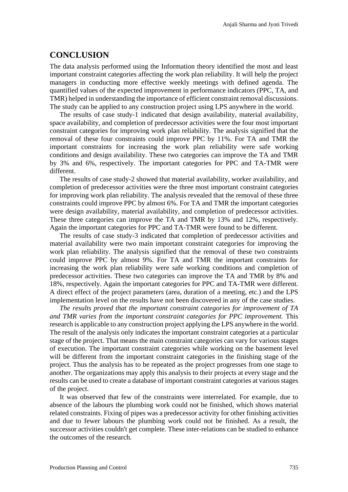#### **CONCLUSION**

The data analysis performed using the Information theory identified the most and least important constraint categories affecting the work plan reliability. It will help the project managers in conducting more effective weekly meetings with defined agenda. The quantified values of the expected improvement in performance indicators (PPC, TA, and TMR) helped in understanding the importance of efficient constraint removal discussions. The study can be applied to any construction project using LPS anywhere in the world.

The results of case study-1 indicated that design availability, material availability, space availability, and completion of predecessor activities were the four most important constraint categories for improving work plan reliability. The analysis signified that the removal of these four constraints could improve PPC by 11%. For TA and TMR the important constraints for increasing the work plan reliability were safe working conditions and design availability. These two categories can improve the TA and TMR by 3% and 6%, respectively. The important categories for PPC and TA-TMR were different.

The results of case study-2 showed that material availability, worker availability, and completion of predecessor activities were the three most important constraint categories for improving work plan reliability. The analysis revealed that the removal of these three constraints could improve PPC by almost 6%. For TA and TMR the important categories were design availability, material availability, and completion of predecessor activities. These three categories can improve the TA and TMR by 13% and 12%, respectively. Again the important categories for PPC and TA-TMR were found to be different.

The results of case study-3 indicated that completion of predecessor activities and material availability were two main important constraint categories for improving the work plan reliability. The analysis signified that the removal of these two constraints could improve PPC by almost 9%. For TA and TMR the important constraints for increasing the work plan reliability were safe working conditions and completion of predecessor activities. These two categories can improve the TA and TMR by 8% and 18%, respectively. Again the important categories for PPC and TA-TMR were different. A direct effect of the project parameters (area, duration of a meeting, etc.) and the LPS implementation level on the results have not been discovered in any of the case studies.

*The results proved that the important constraint categories for improvement of TA and TMR varies from the important constraint categories for PPC improvement.* This research is applicable to any construction project applying the LPS anywhere in the world. The result of the analysis only indicates the important constraint categories at a particular stage of the project. That means the main constraint categories can vary for various stages of execution. The important constraint categories while working on the basement level will be different from the important constraint categories in the finishing stage of the project. Thus the analysis has to be repeated as the project progresses from one stage to another. The organizations may apply this analysis to their projects at every stage and the results can be used to create a database of important constraint categories at various stages of the project.

It was observed that few of the constraints were interrelated. For example, due to absence of the labours the plumbing work could not be finished, which shows material related constraints. Fixing of pipes was a predecessor activity for other finishing activities and due to fewer labours the plumbing work could not be finished. As a result, the successor activities couldn't get complete. These inter-relations can be studied to enhance the outcomes of the research.